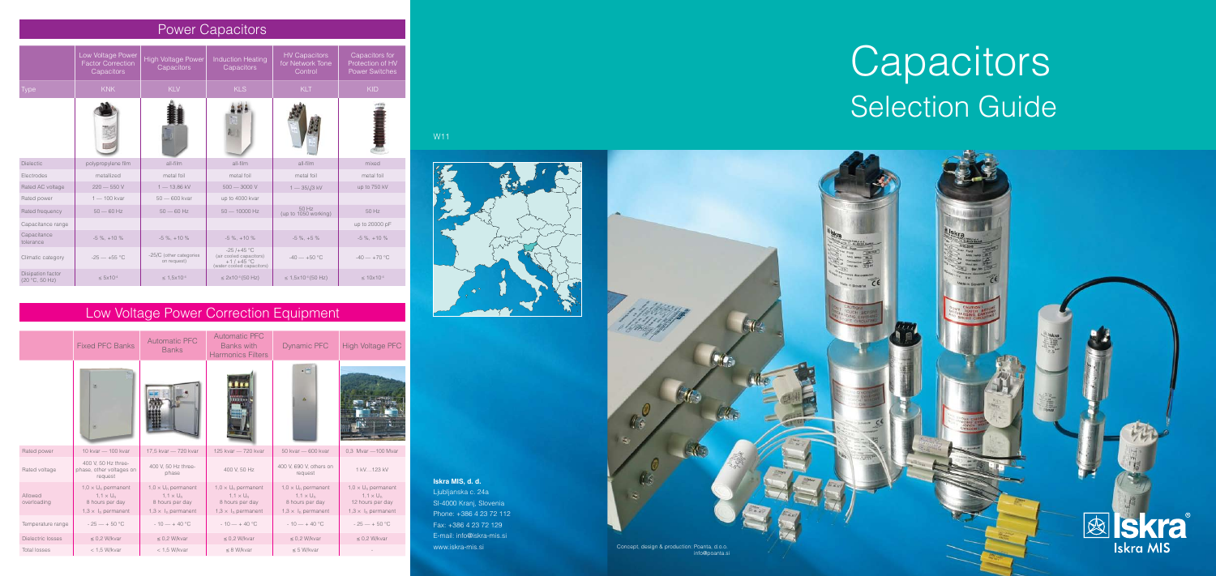|                        | <b>Fixed PFC Banks</b>                                                                                     | <b>Automatic PFC</b><br><b>Banks</b>                                                                       | <b>Automatic PFC</b><br><b>Banks with</b><br><b>Harmonics Filters</b>                                     | <b>Dynamic PFC</b>                                                                                         | <b>High Voltage PFC</b>                                                                         |  |  |
|------------------------|------------------------------------------------------------------------------------------------------------|------------------------------------------------------------------------------------------------------------|-----------------------------------------------------------------------------------------------------------|------------------------------------------------------------------------------------------------------------|-------------------------------------------------------------------------------------------------|--|--|
|                        | ×<br>e                                                                                                     |                                                                                                            | HIII<br><b><i><u>BEEDER</u></i></b>                                                                       | $\cdot$ $\equiv$<br>A                                                                                      |                                                                                                 |  |  |
| Rated power            | 10 kvar - 100 kvar                                                                                         | 17,5 kvar - 720 kvar                                                                                       | 125 kvar - 720 kvar                                                                                       | 50 kvar - 600 kvar                                                                                         | 0.3 Mvar - 100 Mvar                                                                             |  |  |
| Rated voltage          | 400 V, 50 Hz three-<br>phase, other voltages on<br>request                                                 | 400 V, 50 Hz three-<br>phase                                                                               | 400 V, 50 Hz                                                                                              | 400 V, 690 V, others on<br>request                                                                         | 1 kV123 kV                                                                                      |  |  |
| Allowed<br>overloading | $1,0 \times U_n$ permanent<br>$1,1 \times U_n$<br>8 hours per day<br>$1,3 \times 1$ <sub>n</sub> permanent | $1,0 \times U_n$ permanent<br>$1,1 \times U_n$<br>8 hours per day<br>$1,3 \times 1$ <sub>n</sub> permanent | $1,0 \times U_n$ permanent<br>$1,1\times U_n$<br>8 hours per day<br>$1,3 \times 1$ <sub>n</sub> permanent | $1,0 \times U_n$ permanent<br>$1,1 \times U_n$<br>8 hours per day<br>$1,3 \times 1$ <sub>n</sub> permanent | $1,0 \times U_n$ permanent<br>$1,1\times U_n$<br>12 hours per day<br>$1,3 \times I_n$ permanent |  |  |
| Temperature range      | $-25 - +50$ °C                                                                                             | $-10 - +40$ °C                                                                                             | $-10 - +40$ °C                                                                                            | $-10 - +40$ °C                                                                                             | $-25 - +50$ °C                                                                                  |  |  |
| Dielectric losses      | $\leq$ 0.2 W/kvar                                                                                          | $\leq$ 0.2 W/kvar                                                                                          | $\leq$ 0.2 W/kvar                                                                                         | $\leq$ 0.2 W/kvar                                                                                          | $\leq$ 0.2 W/kvar                                                                               |  |  |
| <b>Total losses</b>    | $<$ 1.5 W/kvar                                                                                             | $<$ 1.5 W/kvar                                                                                             | $\leq$ 8 W/kvar                                                                                           | $\leq$ 5 W/kvar                                                                                            |                                                                                                 |  |  |

|                                            | Low Voltage Power<br><b>Factor Correction</b><br>Capacitors | <b>High Voltage Power</b><br>Capacitors | <b>Induction Heating</b><br>Capacitors                                              | <b>HV Capacitors</b><br>for Network Tone<br>Control | Capacitors for<br>Protection of HV<br><b>Power Switches</b> |
|--------------------------------------------|-------------------------------------------------------------|-----------------------------------------|-------------------------------------------------------------------------------------|-----------------------------------------------------|-------------------------------------------------------------|
| <b>Type</b>                                | <b>KNK</b>                                                  | <b>KLV</b>                              | <b>KLS</b>                                                                          | <b>KLT</b>                                          | <b>KID</b>                                                  |
|                                            |                                                             |                                         |                                                                                     |                                                     |                                                             |
| <b>Dielectic</b>                           | polypropylene film                                          | all-film                                | all-film                                                                            | all-film                                            | mixed                                                       |
| Electrodes                                 | metallized                                                  | metal foil                              | metal foil                                                                          | metal foil                                          | metal foil                                                  |
| Rated AC voltage                           | $220 - 550V$                                                | $1 - 13,86$ kV                          | $500 - 3000$ V                                                                      | $1 - 35/\sqrt{3}$ kV                                | up to 750 kV                                                |
| Rated power                                | $1 - 100$ kvar                                              | $50 - 600$ kvar                         | up to 4000 kvar                                                                     |                                                     |                                                             |
| Rated frequency                            | $50 - 60$ Hz                                                | $50 - 60$ Hz                            | $50 - 10000$ Hz                                                                     | 50 Hz<br>(up to 1050 working)                       | 50 Hz                                                       |
| Capacitance range                          |                                                             |                                         |                                                                                     |                                                     | up to 20000 pF                                              |
| Capacitance<br>tolerance                   | $-5\%$ , $+10\%$                                            | $-5\%$ , $+10\%$                        | $-5\%$ , $+10\%$                                                                    | $-5\%$ , $+5\%$                                     | $-5\%$ , $+10\%$                                            |
| Climatic category                          | $-25 - +55$ °C                                              | -25/C (other categories<br>on request)  | $-25/+45$ °C<br>(air cooled capacitors)<br>$+1/+45$ °C<br>(water cooled capacitors) | $-40 - +50$ °C                                      | $-40 - +70$ °C                                              |
| <b>Disipation factor</b><br>(20 °C, 50 Hz) | $\leq 5 \times 10^{-4}$                                     | $\leq 1.5 \times 10^{-4}$               | $\leq 2x10^{-4}(50 Hz)$                                                             | $\leq$ 1,5x10 <sup>-4</sup> (50 Hz)                 | $\leq 10 \times 10^{-4}$                                    |

| <b>Power Capacitors</b> |  |
|-------------------------|--|
|                         |  |

#### W11



#### **Iskra MIS, d. d.**

Ljubljanska c. 24a SI-4000 Kranj, Slovenia Phone: +386 4 23 72 112 Fax: +386 4 23 72 129 E-mail: info@iskra-mis.si

# **Capacitors** Selection Guide



### Low Voltage Power Correction Equipment